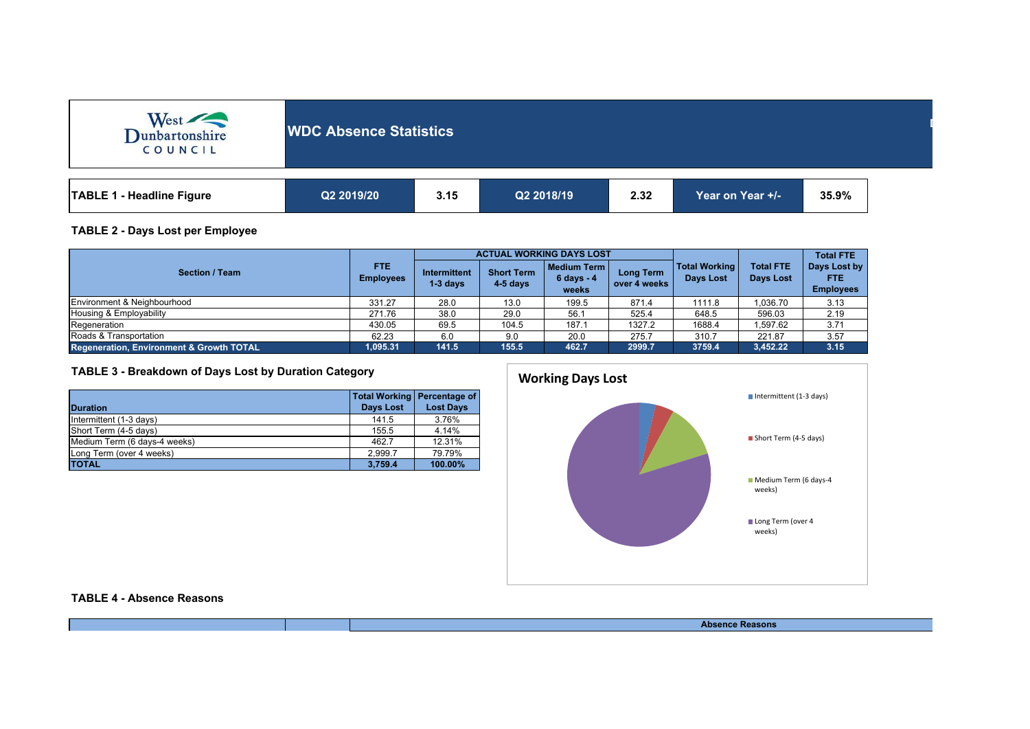| West<br>COUNCIL                  | <b>WDC Absence Statistics</b> |      |            |      |                  |       |  |
|----------------------------------|-------------------------------|------|------------|------|------------------|-------|--|
| <b>TABLE 1 - Headline Figure</b> | Q2 2019/20                    | 3.15 | Q2 2018/19 | 2.32 | Year on Year +/- | 35.9% |  |

## **TABLE 2 - Days Lost per Employee**

|                                                     | FTE.<br><b>Employees</b> |                                   |                                 | <b>ACTUAL WORKING DAYS LOST</b>             |                           |                                          | <b>Total FTE</b>                     |                                          |
|-----------------------------------------------------|--------------------------|-----------------------------------|---------------------------------|---------------------------------------------|---------------------------|------------------------------------------|--------------------------------------|------------------------------------------|
| <b>Section / Team</b>                               |                          | <b>Intermittent</b><br>$1-3$ days | <b>Short Term</b><br>$4-5$ days | l Medium Term l<br>$6 \, days - 4$<br>weeks | Long Term<br>over 4 weeks | <b>Total Working</b><br><b>Davs Lost</b> | <b>Total FTE</b><br><b>Days Lost</b> | Days Lost by<br>FTE.<br><b>Employees</b> |
| Environment & Neighbourhood                         | 331.27                   | 28.0                              | 13.0                            | 199.5                                       | 871.4                     | 1111.8                                   | .036.70                              | 3.13                                     |
| Housing & Employability                             | 271.76                   | 38.0                              | 29.0                            | 56.1                                        | 525.4                     | 648.5                                    | 596.03                               | 2.19                                     |
| Regeneration                                        | 430.05                   | 69.5                              | 104.5                           | 187.1                                       | 1327.2                    | 1688.4                                   | .597.62                              | 3.71                                     |
| Roads & Transportation                              | 62.23                    | 6.0                               | 9.0                             | 20.0                                        | 275.7                     | 310.7                                    | 221.87                               | 3.57                                     |
| <b>Regeneration, Environment &amp; Growth TOTAL</b> | 1.095.31                 | 141.5                             | 155.5                           | 462.7                                       | 2999.7                    | 3759.4                                   | 3,452.22                             | 3.15                                     |

## **TABLE 3 - Breakdown of Days Lost by Duration Category**

| <b>Duration</b>              | Total Working   Percentage of<br>Days Lost | <b>Lost Days</b> |
|------------------------------|--------------------------------------------|------------------|
| Intermittent (1-3 days)      | 141.5                                      | 3.76%            |
| Short Term (4-5 days)        | 155.5                                      | 4.14%            |
| Medium Term (6 days-4 weeks) | 462.7                                      | 12.31%           |
| Long Term (over 4 weeks)     | 2.999.7                                    | 79.79%           |
| <b>TOTAL</b>                 | 3.759.4                                    | 100.00%          |



**TABLE 4 - Absence Reasons**

**Absence Reasons**

**Department:**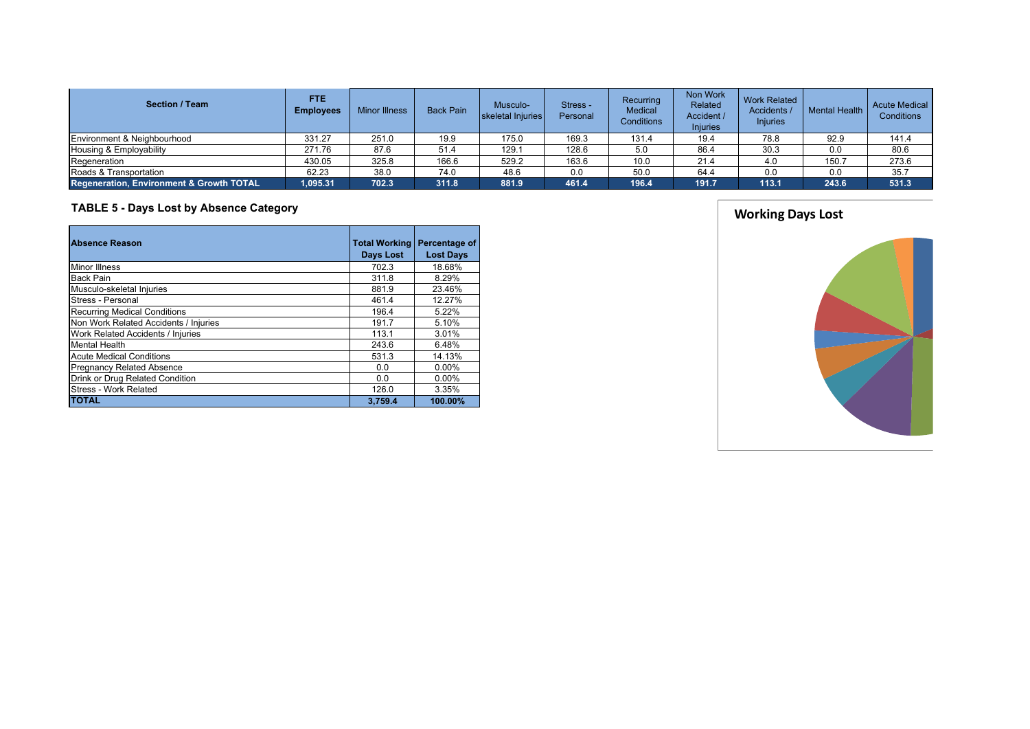| <b>Section / Team</b>                    | <b>FTE</b><br><b>Employees</b> | <b>Minor Illness</b> | <b>Back Pain</b> | Musculo-<br>skeletal Injuries | Stress -<br>Personal | Recurring<br><b>Medical</b><br><b>Conditions</b> | Non Work<br>Related<br>Accident /<br><b>Injuries</b> | <b>Work Related</b><br>Accidents /<br><b>Injuries</b> | <b>Mental Health</b> | <b>Acute Medical</b><br><b>Conditions</b> |
|------------------------------------------|--------------------------------|----------------------|------------------|-------------------------------|----------------------|--------------------------------------------------|------------------------------------------------------|-------------------------------------------------------|----------------------|-------------------------------------------|
| Environment & Neighbourhood              | 331.27                         | 251.0                | 19.9             | 175.0                         | 169.3                | 131.4                                            | 19.4                                                 | 78.8                                                  | 92.9                 | 141.4                                     |
| Housing & Employability                  | 271.76                         | 87.6                 | 51.4             | 129.7                         | 128.6                | 5.0                                              | 86.4                                                 | 30.3                                                  | 0.0                  | 80.6                                      |
| Regeneration                             | 430.05                         | 325.8                | 166.6            | 529.2                         | 163.6                | 10.0                                             | 21.4                                                 | 4.0                                                   | 150.7                | 273.6                                     |
| Roads & Transportation                   | 62.23                          | 38.0                 | 74.0             | 48.6                          | 0.0                  | 50.0                                             | 64.4                                                 | 0.0                                                   | 0.0                  | 35.7                                      |
| Regeneration, Environment & Growth TOTAL | 1,095.31                       | 702.3                | 311.8            | 881.9                         | 461.4                | 196.4                                            | 191.7                                                | 113.1                                                 | 243.6                | 531.3                                     |

## **TABLE 5 - Days Lost by Absence Category**

| <b>Absence Reason</b>                 | <b>Total Working</b><br><b>Days Lost</b> | Percentage of<br><b>Lost Days</b> |  |
|---------------------------------------|------------------------------------------|-----------------------------------|--|
| <b>Minor Illness</b>                  | 702.3                                    | 18.68%                            |  |
| <b>Back Pain</b>                      | 311.8                                    | 8.29%                             |  |
| Musculo-skeletal Injuries             | 881.9                                    | 23.46%                            |  |
| Stress - Personal                     | 461.4                                    | 12.27%                            |  |
| <b>Recurring Medical Conditions</b>   | 196.4                                    | 5.22%                             |  |
| Non Work Related Accidents / Injuries | 191.7                                    | 5.10%                             |  |
| Work Related Accidents / Injuries     | 113.1                                    | 3.01%                             |  |
| <b>Mental Health</b>                  | 243.6                                    | 6.48%                             |  |
| <b>Acute Medical Conditions</b>       | 531.3                                    | 14.13%                            |  |
| <b>Pregnancy Related Absence</b>      | 0.0                                      | 0.00%                             |  |
| Drink or Drug Related Condition       | 0.0                                      | 0.00%                             |  |
| Stress - Work Related                 | 126.0                                    | 3.35%                             |  |
| <b>TOTAL</b>                          | 3,759.4                                  | 100.00%                           |  |

**Working Days Lost**

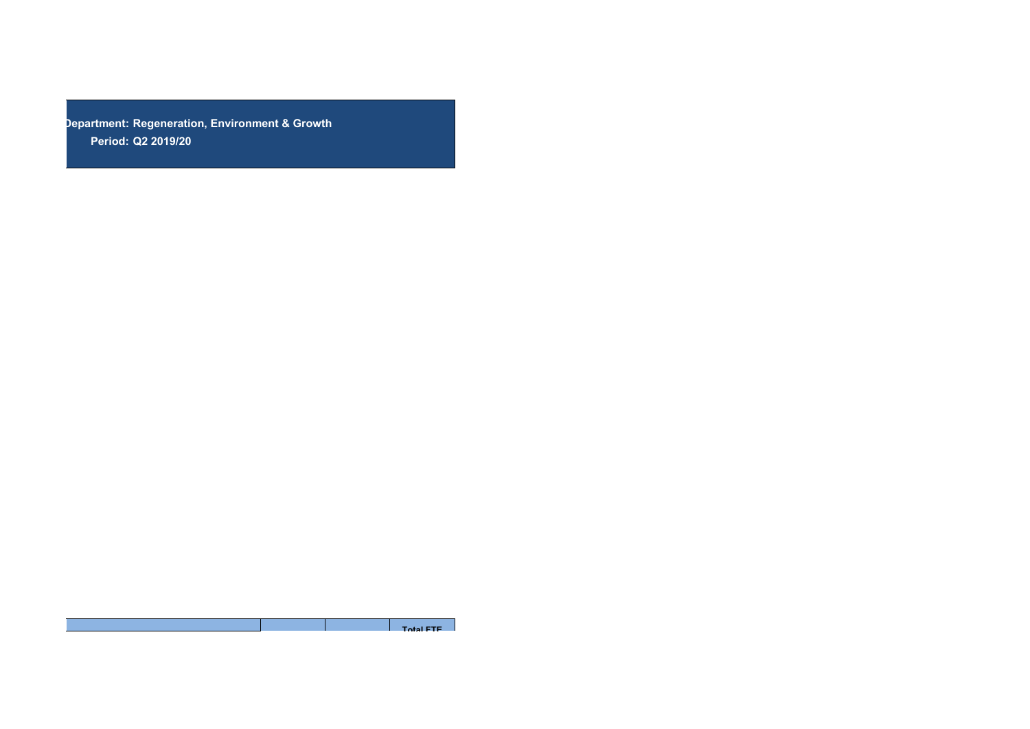**Department: Regeneration, Environment & GrowthPeriod: Q2 2019/20**